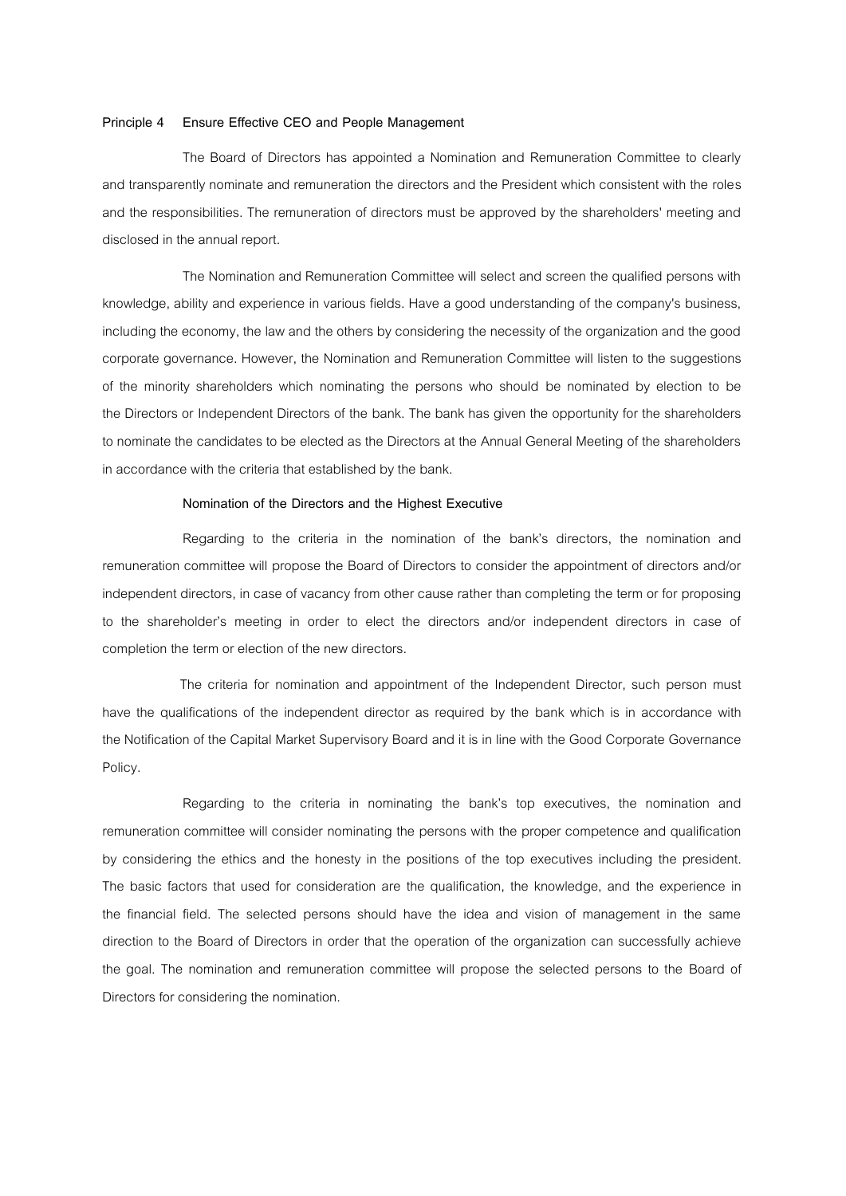### **Principle 4 Ensure Effective CEO and People Management**

The Board of Directors has appointed a Nomination and Remuneration Committee to clearly and transparently nominate and remuneration the directors and the President which consistent with the roles and the responsibilities. The remuneration of directors must be approved by the shareholders' meeting and disclosed in the annual report.

The Nomination and Remuneration Committee will select and screen the qualified persons with knowledge, ability and experience in various fields. Have a good understanding of the company's business, including the economy, the law and the others by considering the necessity of the organization and the good corporate governance. However, the Nomination and Remuneration Committee will listen to the suggestions of the minority shareholders which nominating the persons who should be nominated by election to be the Directors or Independent Directors of the bank. The bank has given the opportunity for the shareholders to nominate the candidates to be elected as the Directors at the Annual General Meeting of the shareholders in accordance with the criteria that established by the bank.

## **Nomination of the Directors and the Highest Executive**

Regarding to the criteria in the nomination of the bank's directors, the nomination and remuneration committee will propose the Board of Directors to consider the appointment of directors and/or independent directors, in case of vacancy from other cause rather than completing the term or for proposing to the shareholder's meeting in order to elect the directors and/or independent directors in case of completion the term or election of the new directors.

 The criteria for nomination and appointment of the Independent Director, such person must have the qualifications of the independent director as required by the bank which is in accordance with the Notification of the Capital Market Supervisory Board and it is in line with the Good Corporate Governance Policy.

Regarding to the criteria in nominating the bank's top executives, the nomination and remuneration committee will consider nominating the persons with the proper competence and qualification by considering the ethics and the honesty in the positions of the top executives including the president. The basic factors that used for consideration are the qualification, the knowledge, and the experience in the financial field. The selected persons should have the idea and vision of management in the same direction to the Board of Directors in order that the operation of the organization can successfully achieve the goal. The nomination and remuneration committee will propose the selected persons to the Board of Directors for considering the nomination.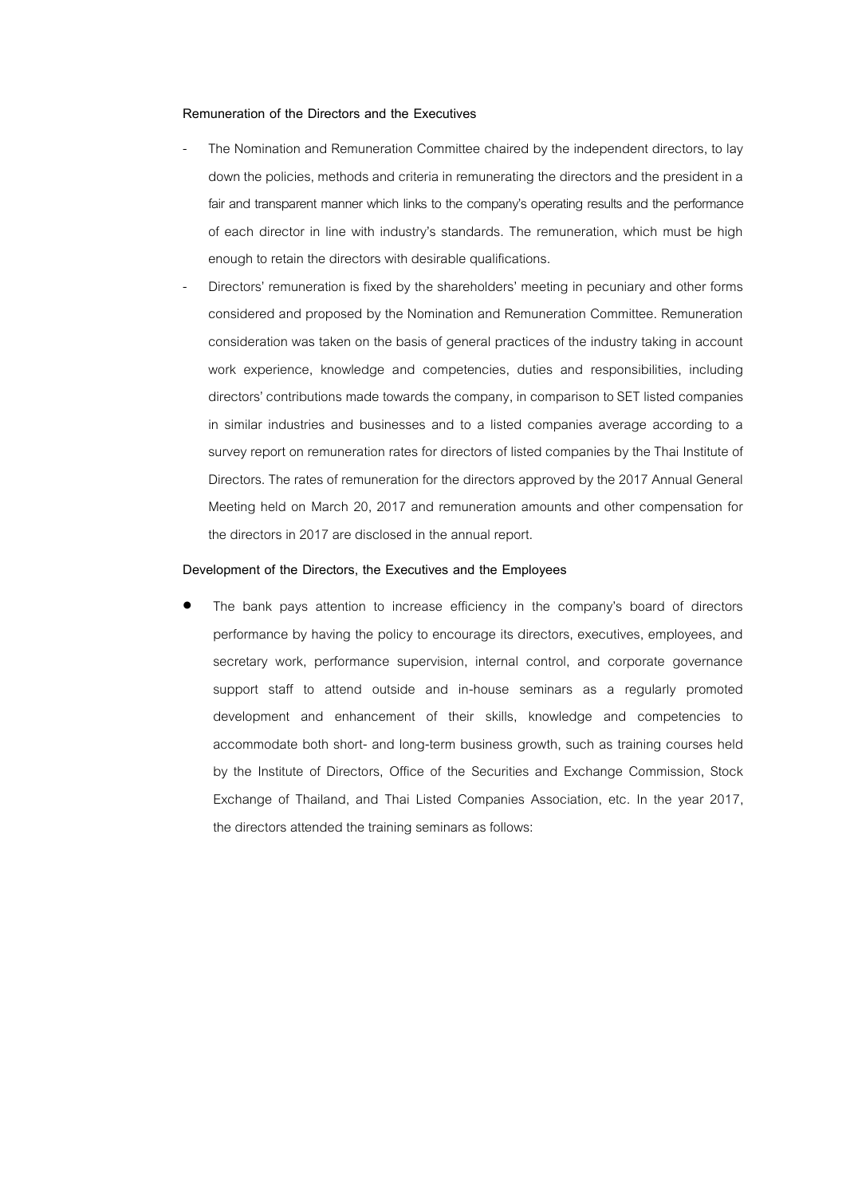## **Remuneration of the Directors and the Executives**

- The Nomination and Remuneration Committee chaired by the independent directors, to lay down the policies, methods and criteria in remunerating the directors and the president in a fair and transparent manner which links to the company's operating results and the performance of each director in line with industry's standards. The remuneration, which must be high enough to retain the directors with desirable qualifications.
- Directors' remuneration is fixed by the shareholders' meeting in pecuniary and other forms considered and proposed by the Nomination and Remuneration Committee. Remuneration consideration was taken on the basis of general practices of the industry taking in account work experience, knowledge and competencies, duties and responsibilities, including directors' contributions made towards the company, in comparison to SET listed companies in similar industries and businesses and to a listed companies average according to a survey report on remuneration rates for directors of listed companies by the Thai Institute of Directors. The rates of remuneration for the directors approved by the 2017 Annual General Meeting held on March 20, 2017 and remuneration amounts and other compensation for the directors in 2017 are disclosed in the annual report.

### **Development of the Directors, the Executives and the Employees**

 The bank pays attention to increase efficiency in the company's board of directors performance by having the policy to encourage its directors, executives, employees, and secretary work, performance supervision, internal control, and corporate governance support staff to attend outside and in-house seminars as a regularly promoted development and enhancement of their skills, knowledge and competencies to accommodate both short- and long-term business growth, such as training courses held by the Institute of Directors, Office of the Securities and Exchange Commission, Stock Exchange of Thailand, and Thai Listed Companies Association, etc. In the year 2017, the directors attended the training seminars as follows: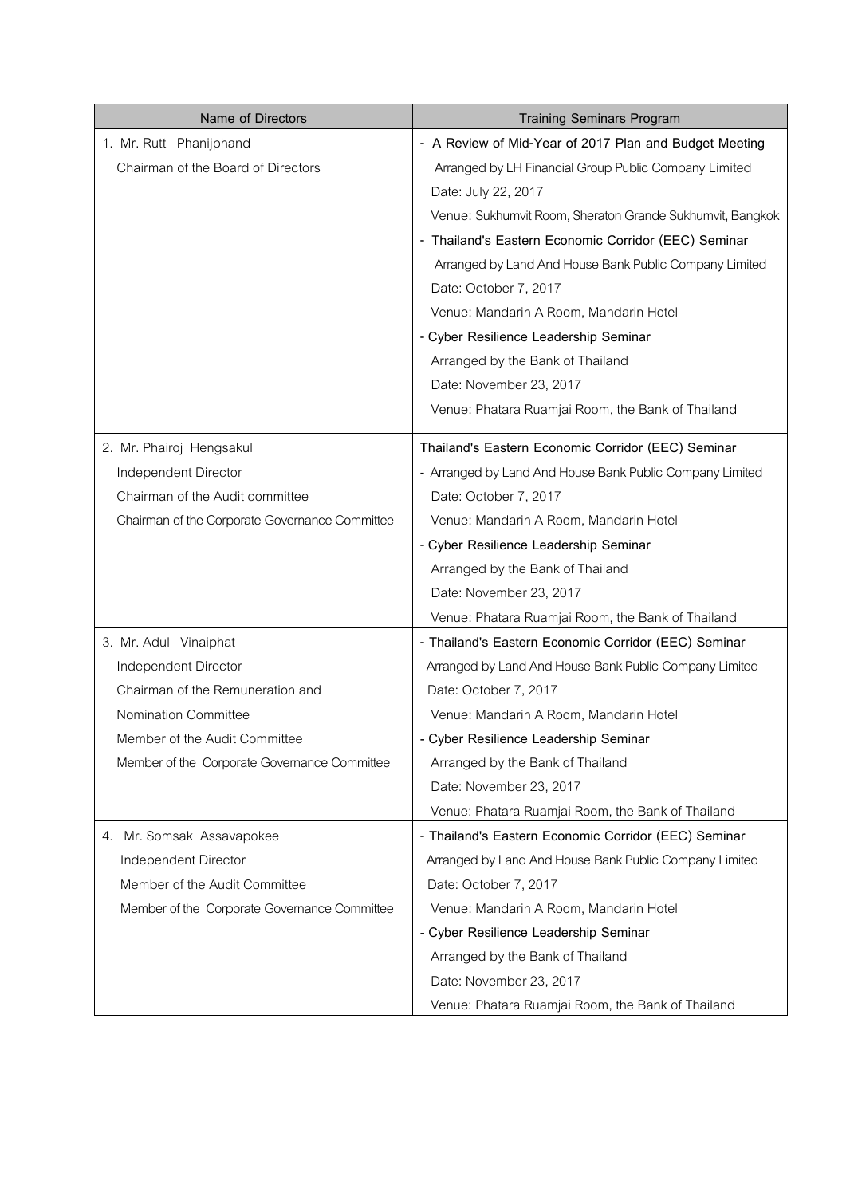| Name of Directors                              | <b>Training Seminars Program</b>                          |
|------------------------------------------------|-----------------------------------------------------------|
| 1. Mr. Rutt Phanijphand                        | - A Review of Mid-Year of 2017 Plan and Budget Meeting    |
| Chairman of the Board of Directors             | Arranged by LH Financial Group Public Company Limited     |
|                                                | Date: July 22, 2017                                       |
|                                                | Venue: Sukhumvit Room, Sheraton Grande Sukhumvit, Bangkok |
|                                                | - Thailand's Eastern Economic Corridor (EEC) Seminar      |
|                                                | Arranged by Land And House Bank Public Company Limited    |
|                                                | Date: October 7, 2017                                     |
|                                                | Venue: Mandarin A Room, Mandarin Hotel                    |
|                                                | - Cyber Resilience Leadership Seminar                     |
|                                                | Arranged by the Bank of Thailand                          |
|                                                | Date: November 23, 2017                                   |
|                                                | Venue: Phatara Ruamjai Room, the Bank of Thailand         |
| 2. Mr. Phairoj Hengsakul                       | Thailand's Eastern Economic Corridor (EEC) Seminar        |
| Independent Director                           | - Arranged by Land And House Bank Public Company Limited  |
| Chairman of the Audit committee                | Date: October 7, 2017                                     |
| Chairman of the Corporate Governance Committee | Venue: Mandarin A Room, Mandarin Hotel                    |
|                                                | - Cyber Resilience Leadership Seminar                     |
|                                                | Arranged by the Bank of Thailand                          |
|                                                | Date: November 23, 2017                                   |
|                                                | Venue: Phatara Ruamjai Room, the Bank of Thailand         |
| 3. Mr. Adul Vinaiphat                          | - Thailand's Eastern Economic Corridor (EEC) Seminar      |
| Independent Director                           | Arranged by Land And House Bank Public Company Limited    |
| Chairman of the Remuneration and               | Date: October 7, 2017                                     |
| <b>Nomination Committee</b>                    | Venue: Mandarin A Room, Mandarin Hotel                    |
| Member of the Audit Committee                  | - Cyber Resilience Leadership Seminar                     |
| Member of the Corporate Governance Committee   | Arranged by the Bank of Thailand                          |
|                                                | Date: November 23, 2017                                   |
|                                                | Venue: Phatara Ruamjai Room, the Bank of Thailand         |
| 4. Mr. Somsak Assavapokee                      | - Thailand's Eastern Economic Corridor (EEC) Seminar      |
| Independent Director                           | Arranged by Land And House Bank Public Company Limited    |
| Member of the Audit Committee                  | Date: October 7, 2017                                     |
| Member of the Corporate Governance Committee   | Venue: Mandarin A Room, Mandarin Hotel                    |
|                                                | - Cyber Resilience Leadership Seminar                     |
|                                                | Arranged by the Bank of Thailand                          |
|                                                | Date: November 23, 2017                                   |
|                                                | Venue: Phatara Ruamjai Room, the Bank of Thailand         |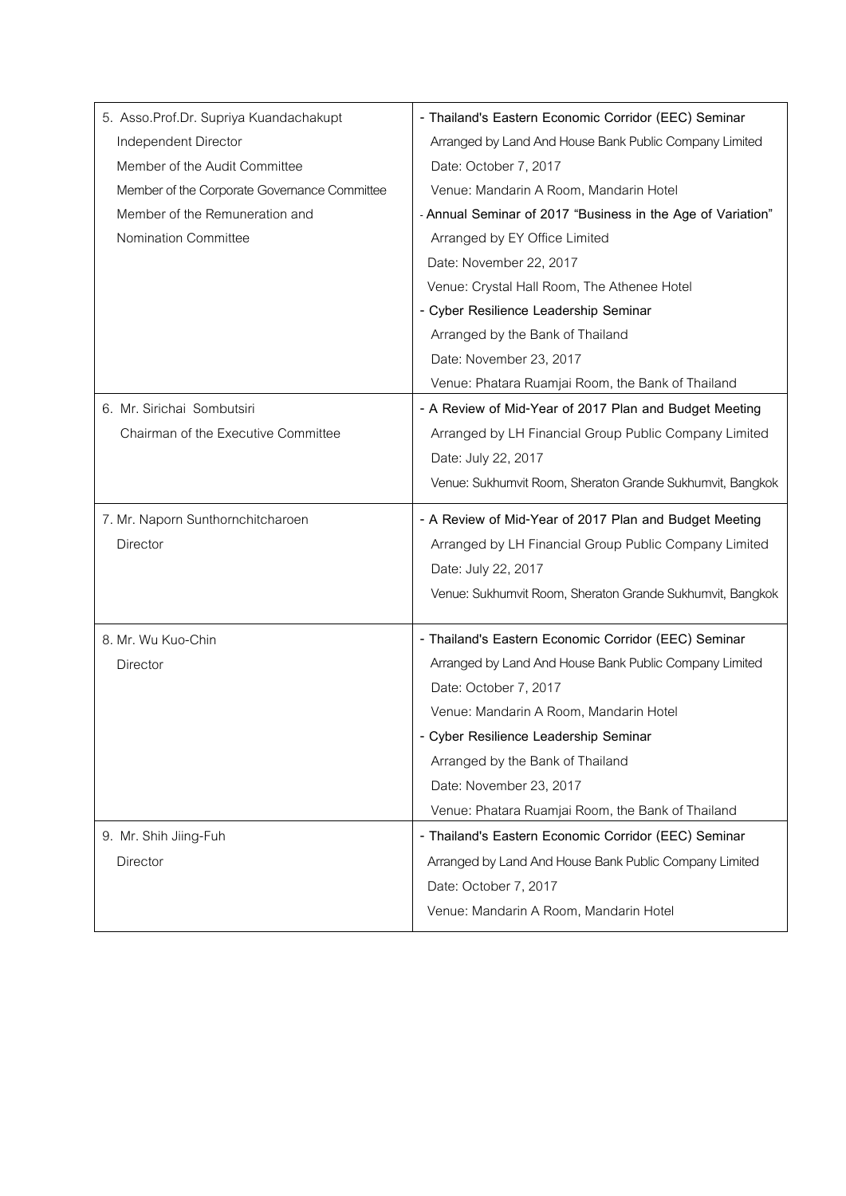| 5. Asso.Prof.Dr. Supriya Kuandachakupt       | - Thailand's Eastern Economic Corridor (EEC) Seminar        |
|----------------------------------------------|-------------------------------------------------------------|
| Independent Director                         | Arranged by Land And House Bank Public Company Limited      |
| Member of the Audit Committee                | Date: October 7, 2017                                       |
| Member of the Corporate Governance Committee | Venue: Mandarin A Room, Mandarin Hotel                      |
| Member of the Remuneration and               | - Annual Seminar of 2017 "Business in the Age of Variation" |
| Nomination Committee                         | Arranged by EY Office Limited                               |
|                                              | Date: November 22, 2017                                     |
|                                              | Venue: Crystal Hall Room, The Athenee Hotel                 |
|                                              | - Cyber Resilience Leadership Seminar                       |
|                                              | Arranged by the Bank of Thailand                            |
|                                              | Date: November 23, 2017                                     |
|                                              | Venue: Phatara Ruamjai Room, the Bank of Thailand           |
| 6. Mr. Sirichai Sombutsiri                   | - A Review of Mid-Year of 2017 Plan and Budget Meeting      |
| Chairman of the Executive Committee          | Arranged by LH Financial Group Public Company Limited       |
|                                              | Date: July 22, 2017                                         |
|                                              | Venue: Sukhumvit Room, Sheraton Grande Sukhumvit, Bangkok   |
| 7. Mr. Naporn Sunthornchitcharoen            | - A Review of Mid-Year of 2017 Plan and Budget Meeting      |
| Director                                     | Arranged by LH Financial Group Public Company Limited       |
|                                              | Date: July 22, 2017                                         |
|                                              | Venue: Sukhumvit Room, Sheraton Grande Sukhumvit, Bangkok   |
| 8. Mr. Wu Kuo-Chin                           | - Thailand's Eastern Economic Corridor (EEC) Seminar        |
| Director                                     | Arranged by Land And House Bank Public Company Limited      |
|                                              | Date: October 7, 2017                                       |
|                                              | Venue: Mandarin A Room, Mandarin Hotel                      |
|                                              | - Cyber Resilience Leadership Seminar                       |
|                                              | Arranged by the Bank of Thailand                            |
|                                              | Date: November 23, 2017                                     |
|                                              | Venue: Phatara Ruamjai Room, the Bank of Thailand           |
| 9. Mr. Shih Jiing-Fuh                        | - Thailand's Eastern Economic Corridor (EEC) Seminar        |
| Director                                     | Arranged by Land And House Bank Public Company Limited      |
|                                              | Date: October 7, 2017                                       |
|                                              | Venue: Mandarin A Room, Mandarin Hotel                      |